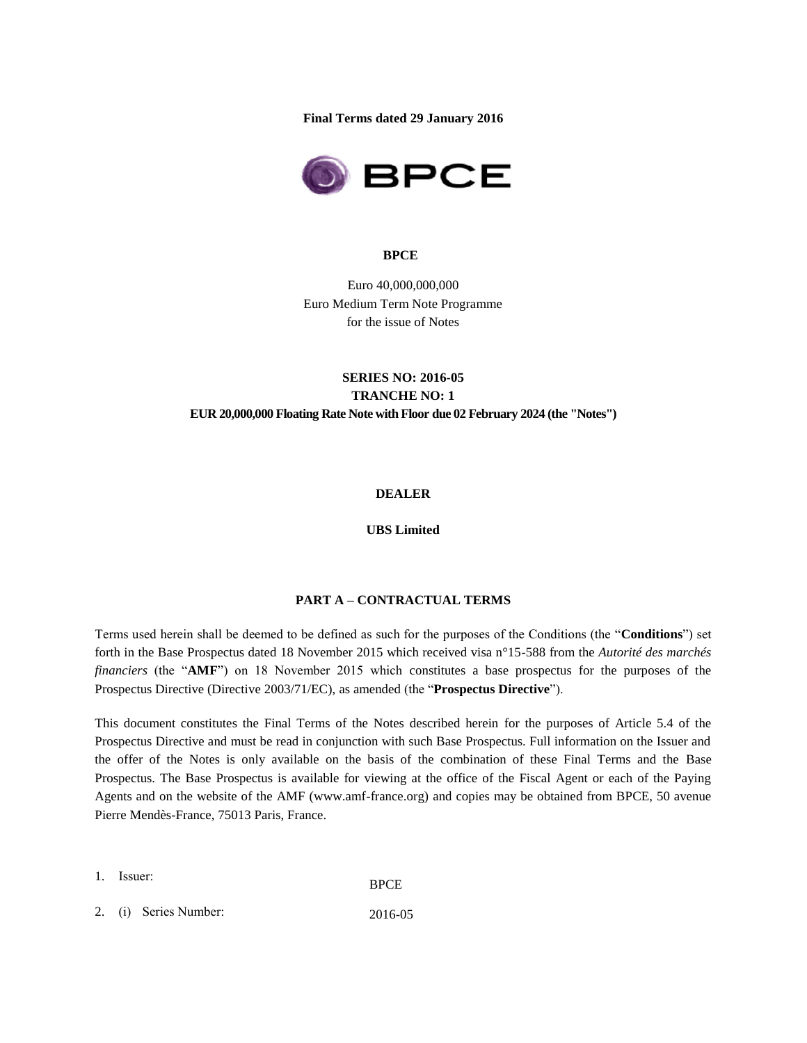**Final Terms dated 29 January 2016**



#### **BPCE**

Euro 40,000,000,000 Euro Medium Term Note Programme for the issue of Notes

## **SERIES NO: 2016-05 TRANCHE NO: 1 EUR 20,000,000 Floating Rate Note with Floor due 02 February 2024 (the "Notes")**

#### **DEALER**

## **UBS Limited**

#### **PART A – CONTRACTUAL TERMS**

Terms used herein shall be deemed to be defined as such for the purposes of the Conditions (the "**Conditions**") set forth in the Base Prospectus dated 18 November 2015 which received visa n°15-588 from the *Autorité des marchés financiers* (the "**AMF**") on 18 November 2015 which constitutes a base prospectus for the purposes of the Prospectus Directive (Directive 2003/71/EC), as amended (the "**Prospectus Directive**").

This document constitutes the Final Terms of the Notes described herein for the purposes of Article 5.4 of the Prospectus Directive and must be read in conjunction with such Base Prospectus. Full information on the Issuer and the offer of the Notes is only available on the basis of the combination of these Final Terms and the Base Prospectus. The Base Prospectus is available for viewing at the office of the Fiscal Agent or each of the Paying Agents and on the website of the AMF (www.amf-france.org) and copies may be obtained from BPCE, 50 avenue Pierre Mendès-France, 75013 Paris, France.

- 1. Issuer: BPCE
- 2. (i) Series Number: 2016-05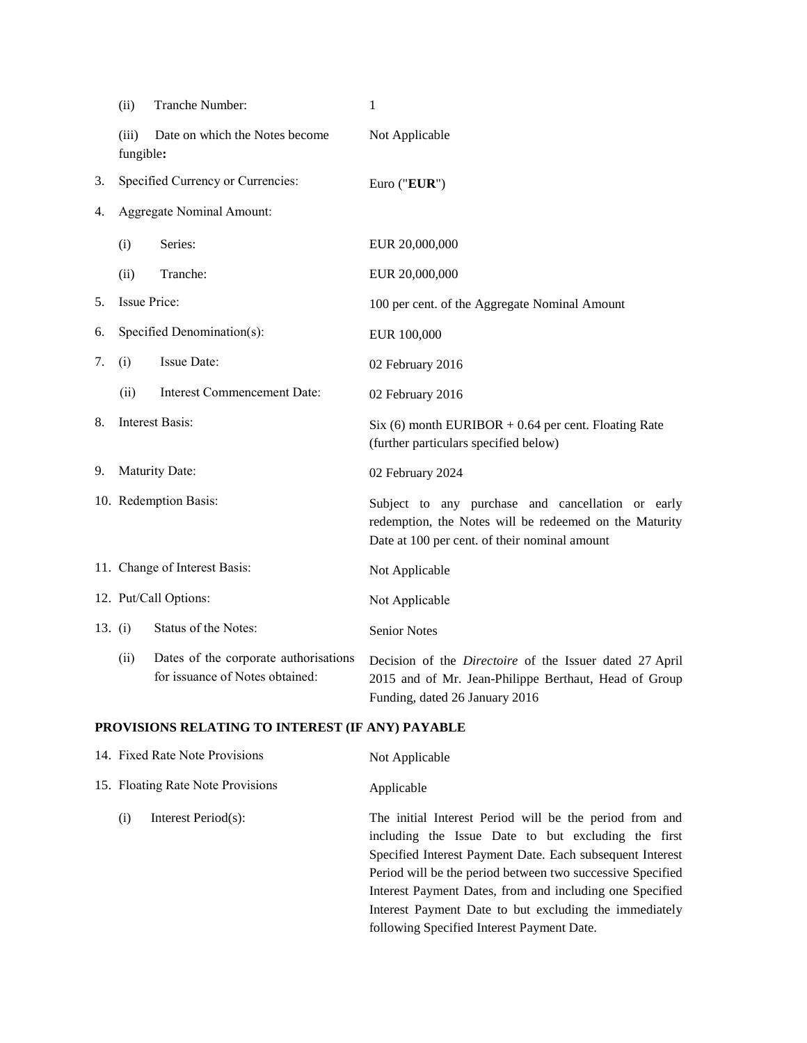|           | (ii)                             | Tranche Number:                                                          | $\mathbf{1}$                                                                                                                                                 |  |  |
|-----------|----------------------------------|--------------------------------------------------------------------------|--------------------------------------------------------------------------------------------------------------------------------------------------------------|--|--|
|           | (iii)<br>fungible:               | Date on which the Notes become                                           | Not Applicable                                                                                                                                               |  |  |
| 3.        |                                  | Specified Currency or Currencies:                                        | Euro ("EUR")                                                                                                                                                 |  |  |
| 4.        | <b>Aggregate Nominal Amount:</b> |                                                                          |                                                                                                                                                              |  |  |
|           | (i)                              | Series:                                                                  | EUR 20,000,000                                                                                                                                               |  |  |
|           | (ii)                             | Tranche:                                                                 | EUR 20,000,000                                                                                                                                               |  |  |
| 5.        | Issue Price:                     |                                                                          | 100 per cent. of the Aggregate Nominal Amount                                                                                                                |  |  |
| 6.        |                                  | Specified Denomination(s):                                               | EUR 100,000                                                                                                                                                  |  |  |
| 7.        | (i)                              | Issue Date:                                                              | 02 February 2016                                                                                                                                             |  |  |
|           | (ii)                             | <b>Interest Commencement Date:</b>                                       | 02 February 2016                                                                                                                                             |  |  |
| 8.        |                                  | <b>Interest Basis:</b>                                                   | Six (6) month EURIBOR $+$ 0.64 per cent. Floating Rate<br>(further particulars specified below)                                                              |  |  |
| 9.        |                                  | Maturity Date:                                                           | 02 February 2024                                                                                                                                             |  |  |
|           | 10. Redemption Basis:            |                                                                          | Subject to any purchase and cancellation or early<br>redemption, the Notes will be redeemed on the Maturity<br>Date at 100 per cent. of their nominal amount |  |  |
|           |                                  | 11. Change of Interest Basis:                                            | Not Applicable                                                                                                                                               |  |  |
|           | 12. Put/Call Options:            |                                                                          | Not Applicable                                                                                                                                               |  |  |
| 13. $(i)$ |                                  | Status of the Notes:                                                     | <b>Senior Notes</b>                                                                                                                                          |  |  |
|           | (ii)                             | Dates of the corporate authorisations<br>for issuance of Notes obtained: | Decision of the <i>Directoire</i> of the Issuer dated 27 April<br>2015 and of Mr. Jean-Philippe Berthaut, Head of Group<br>Funding, dated 26 January 2016    |  |  |

# **PROVISIONS RELATING TO INTEREST (IF ANY) PAYABLE**

| 14. Fixed Rate Note Provisions    | Not Applicable                                                                                                                                                                                                                                                                                                                                                                                                |
|-----------------------------------|---------------------------------------------------------------------------------------------------------------------------------------------------------------------------------------------------------------------------------------------------------------------------------------------------------------------------------------------------------------------------------------------------------------|
| 15. Floating Rate Note Provisions | Applicable                                                                                                                                                                                                                                                                                                                                                                                                    |
| Interest Period(s):<br>(i)        | The initial Interest Period will be the period from and<br>including the Issue Date to but excluding the first<br>Specified Interest Payment Date. Each subsequent Interest<br>Period will be the period between two successive Specified<br>Interest Payment Dates, from and including one Specified<br>Interest Payment Date to but excluding the immediately<br>following Specified Interest Payment Date. |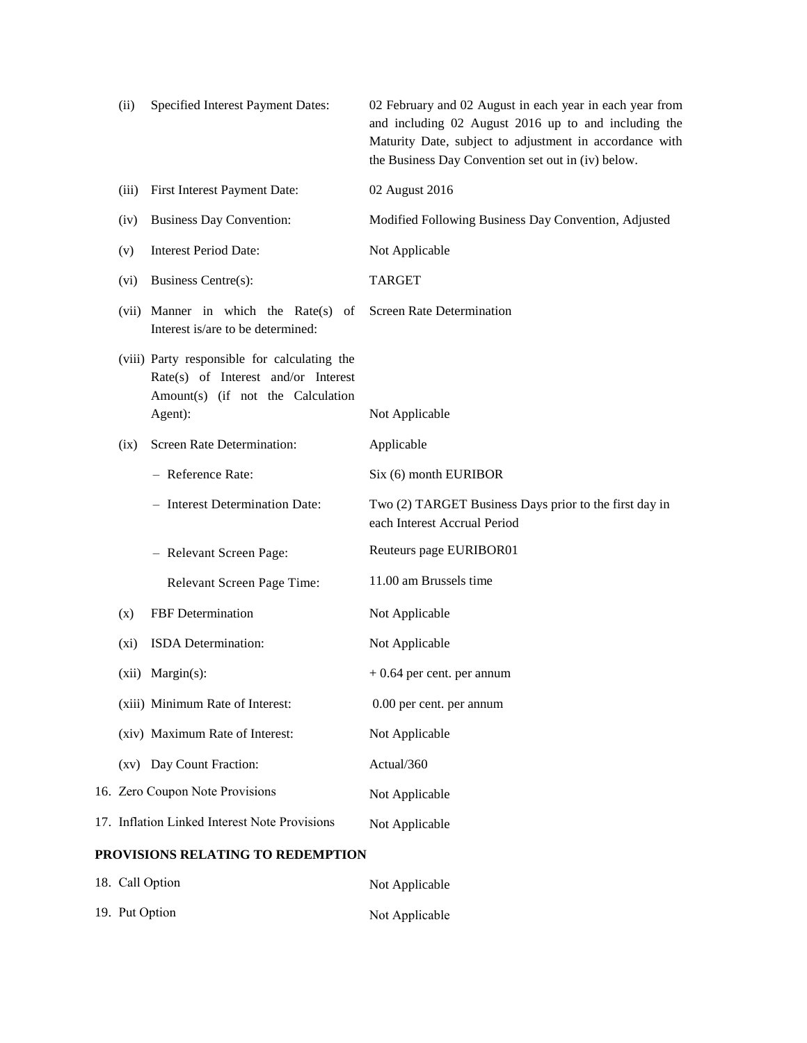| (ii)                              | Specified Interest Payment Dates:                                                                                                   | 02 February and 02 August in each year in each year from<br>and including 02 August 2016 up to and including the<br>Maturity Date, subject to adjustment in accordance with<br>the Business Day Convention set out in (iv) below. |  |  |  |
|-----------------------------------|-------------------------------------------------------------------------------------------------------------------------------------|-----------------------------------------------------------------------------------------------------------------------------------------------------------------------------------------------------------------------------------|--|--|--|
| (iii)                             | First Interest Payment Date:                                                                                                        | 02 August 2016                                                                                                                                                                                                                    |  |  |  |
| (iv)                              | <b>Business Day Convention:</b>                                                                                                     | Modified Following Business Day Convention, Adjusted                                                                                                                                                                              |  |  |  |
| (v)                               | <b>Interest Period Date:</b>                                                                                                        | Not Applicable                                                                                                                                                                                                                    |  |  |  |
| $(v_i)$                           | Business Centre(s):                                                                                                                 | <b>TARGET</b>                                                                                                                                                                                                                     |  |  |  |
|                                   | (vii) Manner in which the Rate(s) of<br>Interest is/are to be determined:                                                           | <b>Screen Rate Determination</b>                                                                                                                                                                                                  |  |  |  |
|                                   | (viii) Party responsible for calculating the<br>Rate(s) of Interest and/or Interest<br>Amount(s) (if not the Calculation<br>Agent): | Not Applicable                                                                                                                                                                                                                    |  |  |  |
| (ix)                              | Screen Rate Determination:                                                                                                          | Applicable                                                                                                                                                                                                                        |  |  |  |
|                                   | - Reference Rate:                                                                                                                   | Six (6) month EURIBOR                                                                                                                                                                                                             |  |  |  |
|                                   | - Interest Determination Date:                                                                                                      | Two (2) TARGET Business Days prior to the first day in<br>each Interest Accrual Period                                                                                                                                            |  |  |  |
|                                   | - Relevant Screen Page:                                                                                                             | Reuteurs page EURIBOR01                                                                                                                                                                                                           |  |  |  |
|                                   | Relevant Screen Page Time:                                                                                                          | 11.00 am Brussels time                                                                                                                                                                                                            |  |  |  |
| (x)                               | FBF Determination                                                                                                                   | Not Applicable                                                                                                                                                                                                                    |  |  |  |
| $(x_i)$                           | ISDA Determination:                                                                                                                 | Not Applicable                                                                                                                                                                                                                    |  |  |  |
|                                   | $(xii)$ Margin $(s)$ :                                                                                                              | $+0.64$ per cent. per annum                                                                                                                                                                                                       |  |  |  |
|                                   | (xiii) Minimum Rate of Interest:                                                                                                    | 0.00 per cent. per annum                                                                                                                                                                                                          |  |  |  |
|                                   | (xiv) Maximum Rate of Interest:                                                                                                     | Not Applicable                                                                                                                                                                                                                    |  |  |  |
|                                   | (xv) Day Count Fraction:                                                                                                            | Actual/360                                                                                                                                                                                                                        |  |  |  |
|                                   | 16. Zero Coupon Note Provisions                                                                                                     | Not Applicable                                                                                                                                                                                                                    |  |  |  |
|                                   | 17. Inflation Linked Interest Note Provisions                                                                                       | Not Applicable                                                                                                                                                                                                                    |  |  |  |
| PROVISIONS RELATING TO REDEMPTION |                                                                                                                                     |                                                                                                                                                                                                                                   |  |  |  |

| 18. Call Option | Not Applicable |
|-----------------|----------------|
| 19. Put Option  | Not Applicable |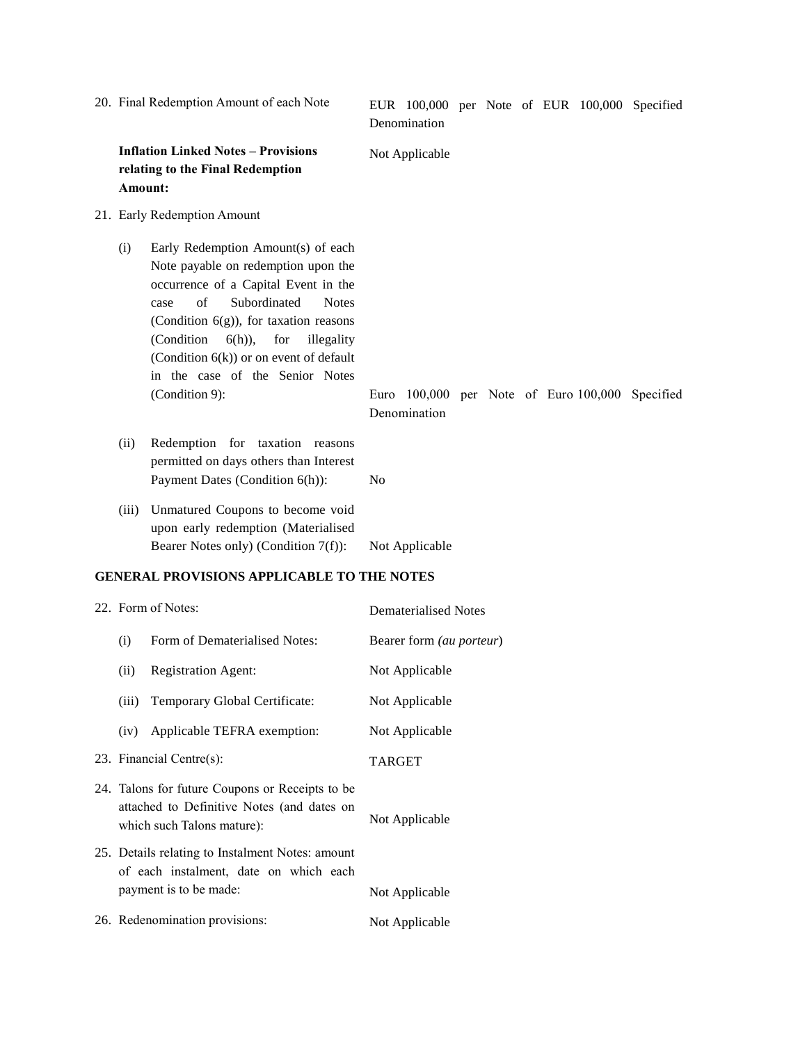|                                                   | 20. Final Redemption Amount of each Note                                                                                    |                                                                                                                                                                                                                                                                                                                                                                 |                | Denomination                |  |  |  |  |  | EUR 100,000 per Note of EUR 100,000 Specified   |
|---------------------------------------------------|-----------------------------------------------------------------------------------------------------------------------------|-----------------------------------------------------------------------------------------------------------------------------------------------------------------------------------------------------------------------------------------------------------------------------------------------------------------------------------------------------------------|----------------|-----------------------------|--|--|--|--|--|-------------------------------------------------|
|                                                   | Amount:                                                                                                                     | <b>Inflation Linked Notes - Provisions</b><br>relating to the Final Redemption                                                                                                                                                                                                                                                                                  |                | Not Applicable              |  |  |  |  |  |                                                 |
|                                                   |                                                                                                                             | 21. Early Redemption Amount                                                                                                                                                                                                                                                                                                                                     |                |                             |  |  |  |  |  |                                                 |
|                                                   | (i)                                                                                                                         | Early Redemption Amount(s) of each<br>Note payable on redemption upon the<br>occurrence of a Capital Event in the<br>of<br>Subordinated<br><b>Notes</b><br>case<br>(Condition $6(g)$ ), for taxation reasons<br>(Condition<br>$6(h)$ ),<br>for<br>illegality<br>(Condition $6(k)$ ) or on event of default<br>in the case of the Senior Notes<br>(Condition 9): |                | Denomination                |  |  |  |  |  | Euro 100,000 per Note of Euro 100,000 Specified |
|                                                   | (ii)                                                                                                                        | Redemption for taxation reasons<br>permitted on days others than Interest<br>Payment Dates (Condition 6(h)):                                                                                                                                                                                                                                                    | No             |                             |  |  |  |  |  |                                                 |
|                                                   | (iii)                                                                                                                       | Unmatured Coupons to become void<br>upon early redemption (Materialised<br>Bearer Notes only) (Condition 7(f)):                                                                                                                                                                                                                                                 |                | Not Applicable              |  |  |  |  |  |                                                 |
| <b>GENERAL PROVISIONS APPLICABLE TO THE NOTES</b> |                                                                                                                             |                                                                                                                                                                                                                                                                                                                                                                 |                |                             |  |  |  |  |  |                                                 |
|                                                   | 22. Form of Notes:                                                                                                          |                                                                                                                                                                                                                                                                                                                                                                 |                | <b>Dematerialised Notes</b> |  |  |  |  |  |                                                 |
|                                                   | (i)                                                                                                                         | Form of Dematerialised Notes:                                                                                                                                                                                                                                                                                                                                   |                | Bearer form (au porteur)    |  |  |  |  |  |                                                 |
|                                                   | (ii)                                                                                                                        | <b>Registration Agent:</b>                                                                                                                                                                                                                                                                                                                                      |                | Not Applicable              |  |  |  |  |  |                                                 |
|                                                   | (iii)                                                                                                                       | Temporary Global Certificate:                                                                                                                                                                                                                                                                                                                                   |                | Not Applicable              |  |  |  |  |  |                                                 |
|                                                   | (iv)                                                                                                                        | Applicable TEFRA exemption:                                                                                                                                                                                                                                                                                                                                     |                | Not Applicable              |  |  |  |  |  |                                                 |
|                                                   | 23. Financial Centre(s):                                                                                                    |                                                                                                                                                                                                                                                                                                                                                                 | <b>TARGET</b>  |                             |  |  |  |  |  |                                                 |
|                                                   | 24. Talons for future Coupons or Receipts to be<br>attached to Definitive Notes (and dates on<br>which such Talons mature): |                                                                                                                                                                                                                                                                                                                                                                 | Not Applicable |                             |  |  |  |  |  |                                                 |
|                                                   | 25. Details relating to Instalment Notes: amount<br>of each instalment, date on which each                                  |                                                                                                                                                                                                                                                                                                                                                                 |                |                             |  |  |  |  |  |                                                 |

26. Redenomination provisions: Not Applicable

payment is to be made: Not Applicable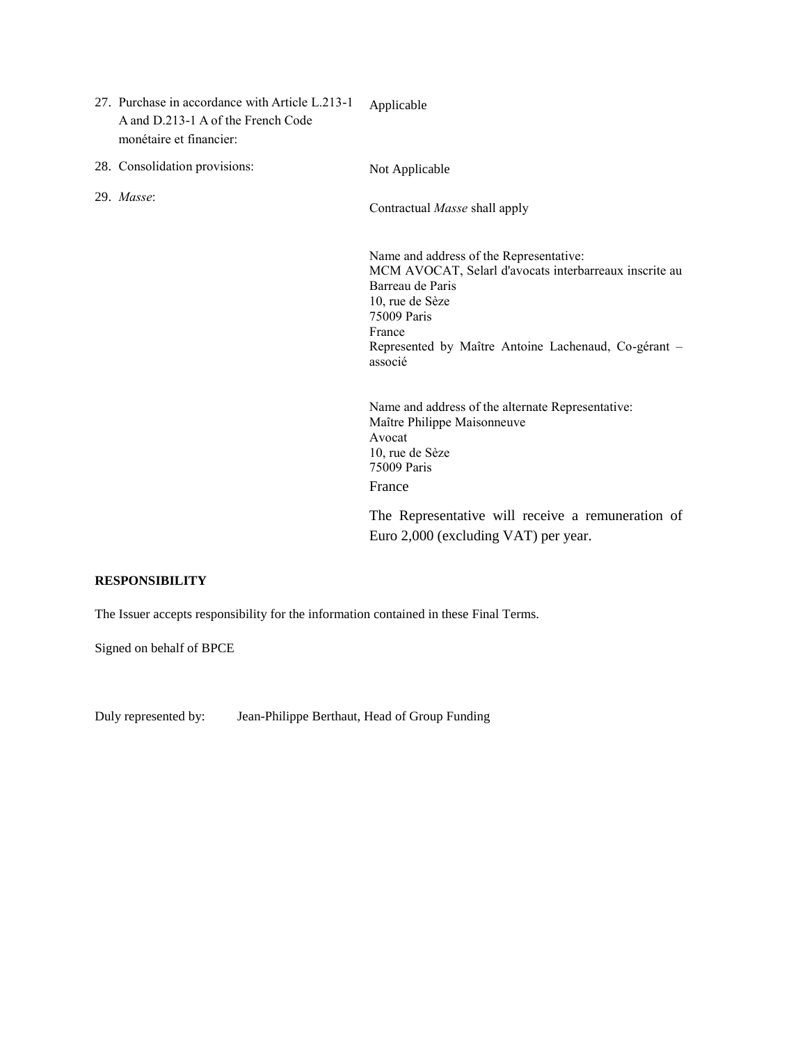- 27. Purchase in accordance with Article L.213-1 A and D.213-1 A of the French Code monétaire et financier: Applicable
- 28. Consolidation provisions: Not Applicable

29. *Masse*:

Contractual *Masse* shall apply

Name and address of the Representative: MCM AVOCAT, Selarl d'avocats interbarreaux inscrite au Barreau de Paris 10, rue de Sèze 75009 Paris France Represented by Maître Antoine Lachenaud, Co-gérant – associé

Name and address of the alternate Representative: Maître Philippe Maisonneuve Avocat 10, rue de Sèze 75009 Paris France

The Representative will receive a remuneration of Euro 2,000 (excluding VAT) per year.

### **RESPONSIBILITY**

The Issuer accepts responsibility for the information contained in these Final Terms.

Signed on behalf of BPCE

Duly represented by: Jean-Philippe Berthaut, Head of Group Funding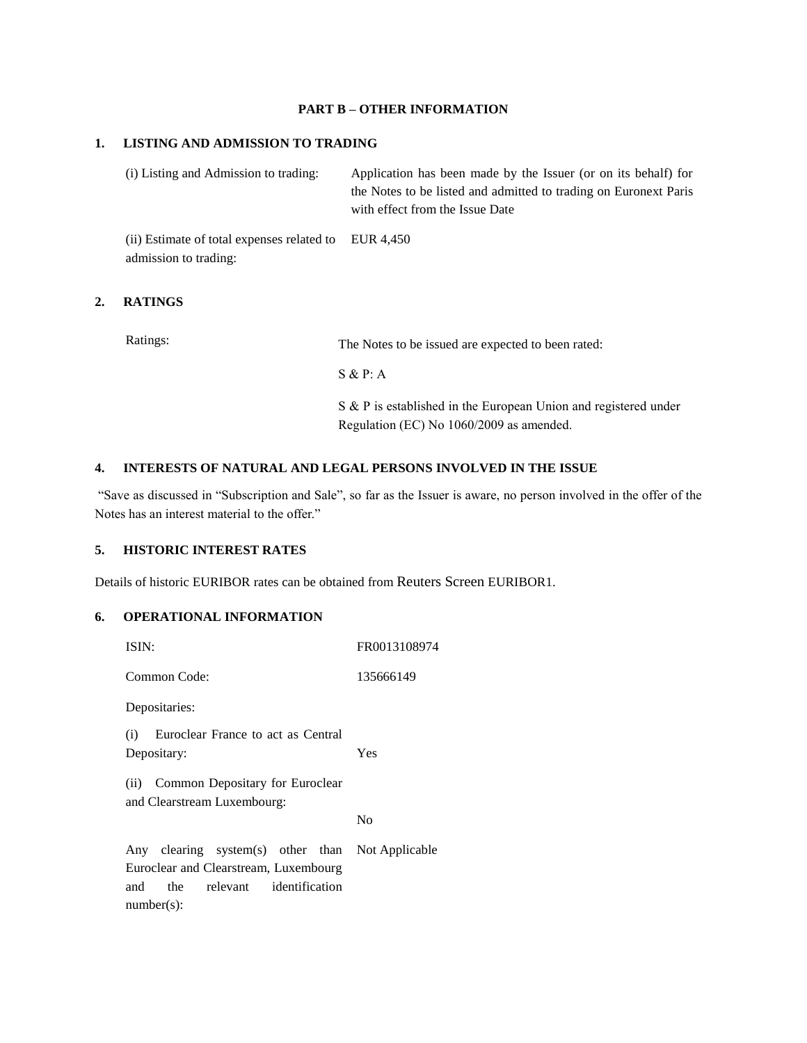## **PART B – OTHER INFORMATION**

#### **1. LISTING AND ADMISSION TO TRADING**

(i) Listing and Admission to trading: Application has been made by the Issuer (or on its behalf) for the Notes to be listed and admitted to trading on Euronext Paris with effect from the Issue Date

(ii) Estimate of total expenses related to EUR 4,450 admission to trading:

## **2. RATINGS**

| Ratings: | The Notes to be issued are expected to been rated:                                                          |
|----------|-------------------------------------------------------------------------------------------------------------|
|          | S & P: A                                                                                                    |
|          | S & P is established in the European Union and registered under<br>Regulation (EC) No 1060/2009 as amended. |

#### **4. INTERESTS OF NATURAL AND LEGAL PERSONS INVOLVED IN THE ISSUE**

"Save as discussed in "Subscription and Sale", so far as the Issuer is aware, no person involved in the offer of the Notes has an interest material to the offer."

## **5. HISTORIC INTEREST RATES**

Details of historic EURIBOR rates can be obtained from Reuters Screen EURIBOR1.

## **6. OPERATIONAL INFORMATION**

| ISIN:                                                                                                                        | FR0013108974 |  |  |  |
|------------------------------------------------------------------------------------------------------------------------------|--------------|--|--|--|
| Common Code:                                                                                                                 | 135666149    |  |  |  |
| Depositaries:                                                                                                                |              |  |  |  |
| (i) Euroclear France to act as Central<br>Depositary:                                                                        | Yes          |  |  |  |
| (ii) Common Depositary for Euroclear<br>and Clearstream Luxembourg:<br>No                                                    |              |  |  |  |
|                                                                                                                              |              |  |  |  |
| Any clearing system(s) other than Not Applicable<br>Euroclear and Clearstream, Luxembourg<br>and the relevant identification |              |  |  |  |
| $number(s)$ :                                                                                                                |              |  |  |  |